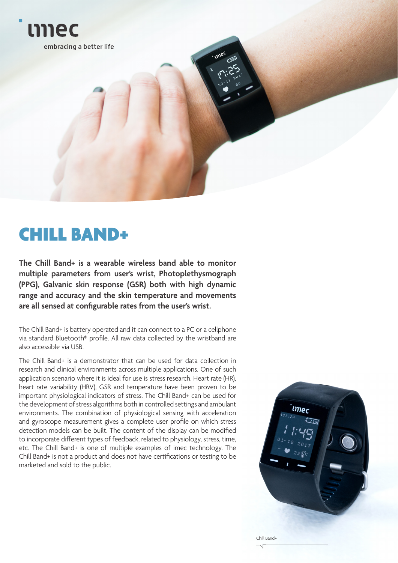

# CHILL BAND+

**The Chill Band+ is a wearable wireless band able to monitor multiple parameters from user's wrist, Photoplethysmograph (PPG), Galvanic skin response (GSR) both with high dynamic range and accuracy and the skin temperature and movements are all sensed at configurable rates from the user's wrist.** 

The Chill Band+ is battery operated and it can connect to a PC or a cellphone via standard Bluetooth® profile. All raw data collected by the wristband are also accessible via USB.

The Chill Band+ is a demonstrator that can be used for data collection in research and clinical environments across multiple applications. One of such application scenario where it is ideal for use is stress research. Heart rate (HR), heart rate variability (HRV), GSR and temperature have been proven to be important physiological indicators of stress. The Chill Band+ can be used for the development of stress algorithms both in controlled settings and ambulant environments. The combination of physiological sensing with acceleration and gyroscope measurement gives a complete user profile on which stress detection models can be built. The content of the display can be modified to incorporate different types of feedback, related to physiology, stress, time, etc. The Chill Band+ is one of multiple examples of imec technology. The Chill Band+ is not a product and does not have certifications or testing to be marketed and sold to the public.